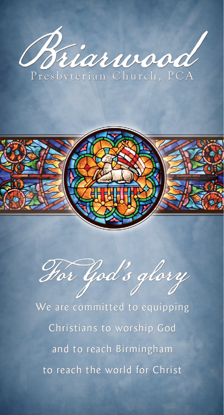



Hor God's glory

We are committed to equipping Christians to worship God and to reach Birmingham to reach the world for Christ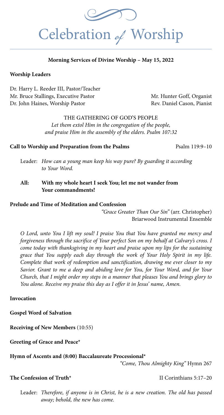

#### **Morning Services of Divine Worship – May 15, 2022**

#### **Worship Leaders**

Dr. Harry L. Reeder III, Pastor/Teacher Mr. Bruce Stallings, Executive Pastor Mr. Hunter Goff, Organist Dr. John Haines, Worship Pastor **Rev. Daniel Cason, Pianist** 

THE GATHERING OF GOD'S PEOPLE *Let them extol Him in the congregation of the people, and praise Him in the assembly of the elders. Psalm 107:32*

#### **Call to Worship and Preparation from the Psalms** Psalm 119:9–10

- Leader: *How can a young man keep his way pure? By guarding it according to Your Word.*
- **All: With my whole heart I seek You; let me not wander from Your commandments!**

#### **Prelude and Time of Meditation and Confession**

*"Grace Greater Than Our Sin"* (arr. Christopher) Briarwood Instrumental Ensemble

*O Lord, unto You I lift my soul! I praise You that You have granted me mercy and forgiveness through the sacrifice of Your perfect Son on my behalf at Calvary's cross. I come today with thanksgiving in my heart and praise upon my lips for the sustaining grace that You supply each day through the work of Your Holy Spirit in my life. Complete that work of redemption and sanctification, drawing me ever closer to my Savior. Grant to me a deep and abiding love for You, for Your Word, and for Your Church, that I might order my steps in a manner that pleases You and brings glory to You alone. Receive my praise this day as I offer it in Jesus' name, Amen.*

#### **Invocation**

**Gospel Word of Salvation**

**Receiving of New Members** (10:55)

**Greeting of Grace and Peace\*** 

#### **Hymn of Ascents and (8:00) Baccalaureate Processional\***

*"Come, Thou Almighty King"* Hymn 267

#### **The Confession of Truth\* II Corinthians 5:17–20**

Leader: *Therefore, if anyone is in Christ, he is a new creation. The old has passed away; behold, the new has come.*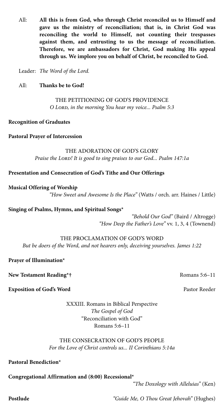gave us the ministry of reconciliation; that is, in Christ God was<br>reconciling the world to Himself, not counting their trespasses<br>against them, and entrusting to us the message of reconciliation. All: **All this is from God, who through Christ reconciled us to Himself and gave us the ministry of reconciliation; that is, in Christ God was reconciling the world to Himself, not counting their trespasses against them, and entrusting to us the message of reconciliation. Therefore, we are ambassadors for Christ, God making His appeal through us. We implore you on behalf of Christ, be reconciled to God.** 

Leader: *The Word of the Lord.*

All: **Thanks be to God!**

#### THE PETITIONING OF GOD'S PROVIDENCE *O Lord, in the morning You hear my voice... Psalm 5:3*

**Recognition of Graduates** 

**Pastoral Prayer of Intercession** 

#### THE ADORATION OF GOD'S GLORY

*Praise the Lord! It is good to sing praises to our God... Psalm 147:1a*

#### **Presentation and Consecration of God's Tithe and Our Offerings**

#### **Musical Offering of Worship**

*"How Sweet and Awesome Is the Place"* (Watts / orch. arr. Haines / Little)

**Singing of Psalms, Hymns, and Spiritual Songs\***

 *"Behold Our God"* (Baird / Altrogge) *"How Deep the Father's Love"* vv. 1, 3, 4 (Townend)

THE PROCLAMATION OF GOD'S WORD *But be doers of the Word, and not hearers only, deceiving yourselves. James 1:22*

**Prayer of Illumination\***

**New Testament Reading\*†** Romans 5:6–11

**Exposition of God's Word Pastor Reeder Pastor Reeder Pastor Reeder Pastor Reeder Pastor Reeder Pastor Reeder Pastor Reeder Pastor Reeder Pastor Reeder Pastor Reeder Pastor Reeder Pastor Reeder P** 

XXXIII. Romans in Biblical Perspective *The Gospel of God* "Reconciliation with God" Romans 5:6–11

#### THE CONSECRATION OF GOD'S PEOPLE *For the Love of Christ controls us... II Corinthians 5:14a*

**Pastoral Benediction\***

#### **Congregational Affirmation and (8:00) Recessional\***

*"The Doxology with Alleluias"* (Ken)

**Postlude** *"Guide Me, O Thou Great Jehovah"* (Hughes)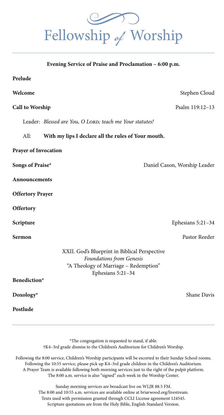Fellowship of Worship

| Evening Service of Praise and Proclamation - 6:00 p.m.   |                                                                                                                                         |                              |
|----------------------------------------------------------|-----------------------------------------------------------------------------------------------------------------------------------------|------------------------------|
| Prelude                                                  |                                                                                                                                         |                              |
| Welcome                                                  |                                                                                                                                         | Stephen Cloud                |
| <b>Call to Worship</b>                                   |                                                                                                                                         | Psalm 119:12-13              |
| Leader: Blessed are You, O LORD; teach me Your statutes! |                                                                                                                                         |                              |
| All:                                                     | With my lips I declare all the rules of Your mouth.                                                                                     |                              |
| <b>Prayer of Invocation</b>                              |                                                                                                                                         |                              |
| Songs of Praise*                                         |                                                                                                                                         | Daniel Cason, Worship Leader |
| Announcements                                            |                                                                                                                                         |                              |
| <b>Offertory Prayer</b>                                  |                                                                                                                                         |                              |
| Offertory                                                |                                                                                                                                         |                              |
| Scripture                                                |                                                                                                                                         | Ephesians 5:21-34            |
| Sermon                                                   |                                                                                                                                         | Pastor Reeder                |
|                                                          | XXII. God's Blueprint in Biblical Perspective<br>Foundations from Genesis<br>"A Theology of Marriage - Redemption"<br>Ephesians 5:21-34 |                              |
| Benediction*                                             |                                                                                                                                         |                              |
| Doxology*                                                |                                                                                                                                         | Shane Davis                  |

\*The congregation is requested to stand, if able. †K4–3rd grade dismiss to the Children's Auditorium for Children's Worship.

**Postlude** 

Following the 8:00 service, Children's Worship participants will be escorted to their Sunday School rooms. Following the 10:55 service, please pick up K4–3rd grade children in the Children's Auditorium. A Prayer Team is available following both morning services just to the right of the pulpit platform. The 8:00 a.m. service is also "signed" each week in the Worship Center.

> Sunday morning services are broadcast live on WLJR 88.5 FM. The 8:00 and 10:55 a.m. services are available online at briarwood.org/livestream. Texts used with permission granted through CCLI License agreement 124545. Scripture quotations are from the Holy Bible, English Standard Version.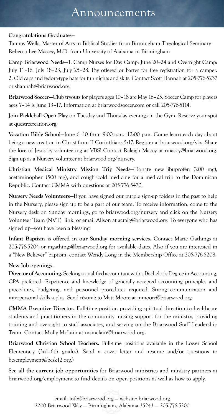### Announcements

#### **Congratulations Graduates—**

Tammy Wells, Master of Arts in Biblical Studies from Birmingham Theological Seminary Rebecca Lee Massey, M.D. from University of Alabama in Birmingham

**Camp Briarwood Needs—**1. Camp Nurses for Day Camp: June 20–24 and Overnight Camp: July 11–16, July 18–23, July 25–28. Pay offered or barter for free registration for a camper. 2. Old caps and fedora-type hats for fun nights and skits. Contact Scott Hannah at 205-776-5237 or shannah@briarwood.org.

**Briarwood Soccer—**Club tryouts for players ages 10–18 are May 16–25. Soccer Camp for players ages 7–14 is June 13–17. Information at briarwoodsoccer.com or call 205-776-5114.

**Join Pickleball Open Play** on Tuesday and Thursday evenings in the Gym. Reserve your spot at questrecreation.org.

**Vacation Bible School—**June 6–10 from 9:00 a.m.–12:00 p.m. Come learn each day about being a new creation in Christ from II Corinthians 5:17. Register at briarwood.org/vbs. Share the love of Jesus by volunteering at VBS! Contact Raleigh Macoy at rmacoy@briarwood.org. Sign up as a Nursery volunteer at briarwood.org/nursery.

**Christian Medical Ministry Mission Trip Needs—**Donate new ibuprofen (200 mg), acetaminophen (500 mg), and cough+cold medicine for a medical trip to the Dominican Republic. Contact CMMA with questions at 205-776-5470.

**Nursery Needs Volunteers—**If you have signed our purple sign-up folders in the past to help in the Nursery, please sign up to be a part of our team. To receive information, come to the Nursery desk on Sunday mornings, go to briarwood.org/nursery and click on the Nursery Volunteer Team (NVT) link, or email Alison at acraig@briarwood.org. To everyone who has signed up—you have been a blessing!

**Infant Baptism is offered in our Sunday morning services.** Contact Marie Gathings at 205-776-5204 or mgathings@briarwood.org for available dates. Also if you are interested in a "New Believer" baptism, contact Wendy Long in the Membership Office at 205-776-5208.

#### **New Job openings**—

**Director of Accounting.** Seeking a qualified accountant with a Bachelor's Degree in Accounting, CPA preferred. Experience and knowledge of generally accepted accounting principles and procedures, budgeting, and personnel procedures required. Strong communication and interpersonal skills a plus. Send résumé to Matt Moore at mmoore@briarwood.org.

**CMMA Executive Director.** Full-time position providing spiritual direction to healthcare students and practitioners in the community, raising support for the ministry, providing training and oversight to staff associates, and serving on the Briarwood Staff Leadership Team. Contact Molly McLain at msmclain@briarwood.org**.**

**Briarwood Christian School Teachers.** Full-time positions available in the Lower School Elementary (3rd–6th grades). Send a cover letter and resume and/or questions to bcsemployment@bcsk12.org.)

**See all the current job opportunities** for Briarwood ministries and ministry partners at briarwood.org/employment to find details on open positions as well as how to apply.